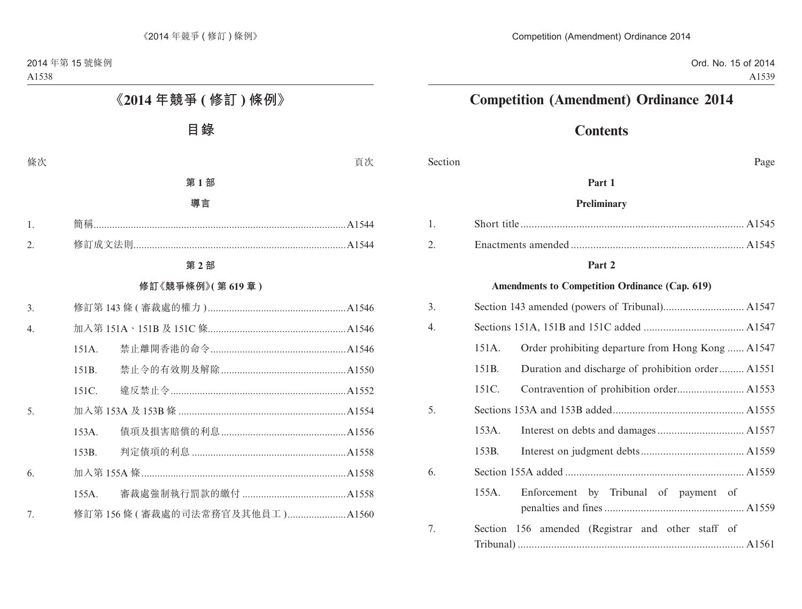# **Contents**

Section Page

### **Part 1**

#### **Preliminary**

#### **Part 2**

#### **Amendments to Competition Ordinance (Cap. 619)**

| 3. |       |                                                   |
|----|-------|---------------------------------------------------|
| 4. |       |                                                   |
|    | 151A. | Order prohibiting departure from Hong Kong  A1547 |
|    | 151B. | Duration and discharge of prohibition order A1551 |
|    | 151C. |                                                   |
| 5. |       |                                                   |
|    | 153A. |                                                   |
|    | 153B. |                                                   |
| 6. |       |                                                   |
|    | 155A. | Enforcement by Tribunal of payment of             |
| 7. |       | Section 156 amended (Registrar and other staff of |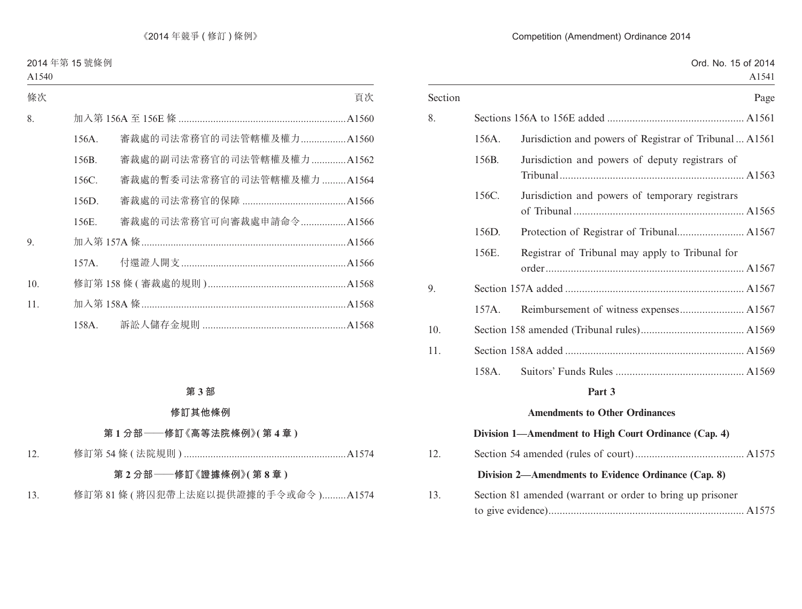|         |       | Ord. No. 15 of 2014                                     | A1541 |
|---------|-------|---------------------------------------------------------|-------|
| Section |       |                                                         | Page  |
| 8.      |       |                                                         |       |
|         | 156A. | Jurisdiction and powers of Registrar of Tribunal  A1561 |       |
|         | 156B. | Jurisdiction and powers of deputy registrars of         |       |
|         | 156C. | Jurisdiction and powers of temporary registrars         |       |
|         | 156D. |                                                         |       |
|         | 156E. | Registrar of Tribunal may apply to Tribunal for         |       |
| 9.      |       |                                                         |       |
|         | 157A. |                                                         |       |
| 10.     |       |                                                         |       |
| 11.     |       |                                                         |       |
|         | 158A. |                                                         |       |
|         |       | Part 3                                                  |       |
|         |       |                                                         |       |

#### **Amendments to Other Ordinances**

# **Division 1—Amendment to High Court Ordinance (Cap. 4)** 12. Section 54 amended (rules of court)....................................... A1575 **Division 2—Amendments to Evidence Ordinance (Cap. 8)** 13. Section 81 amended (warrant or order to bring up prisoner to give evidence)...................................................................... A1575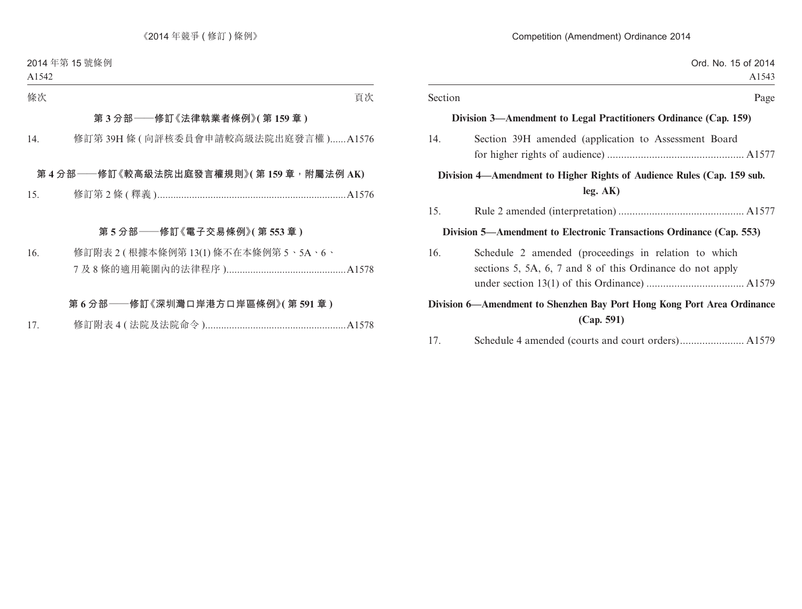| Section | Page                                                                                                              |
|---------|-------------------------------------------------------------------------------------------------------------------|
|         | Division 3—Amendment to Legal Practitioners Ordinance (Cap. 159)                                                  |
| 14.     | Section 39H amended (application to Assessment Board                                                              |
|         | Division 4—Amendment to Higher Rights of Audience Rules (Cap. 159 sub.<br>leg. AK)                                |
| 15.     |                                                                                                                   |
|         | Division 5—Amendment to Electronic Transactions Ordinance (Cap. 553)                                              |
| 16.     | Schedule 2 amended (proceedings in relation to which<br>sections 5, 5A, 6, 7 and 8 of this Ordinance do not apply |
|         | Division 6-Amendment to Shenzhen Bay Port Hong Kong Port Area Ordinance<br>(Cap. 591)                             |
| 17.     |                                                                                                                   |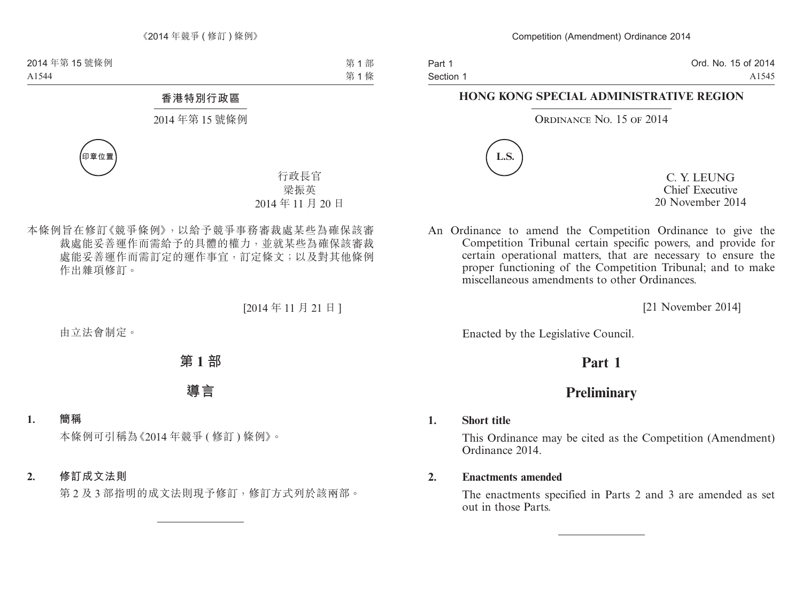Part 1 Section 1 Ord. No. 15 of 2014 A1545

### **HONG KONG SPECIAL ADMINISTRATIVE REGION**

#### ORDINANCE NO. 15 OF 2014



C. Y. LEUNG Chief Executive 20 November 2014

An Ordinance to amend the Competition Ordinance to give the Competition Tribunal certain specific powers, and provide for certain operational matters, that are necessary to ensure the proper functioning of the Competition Tribunal; and to make miscellaneous amendments to other Ordinances.

[21 November 2014]

Enacted by the Legislative Council.

# **Part 1**

# **Preliminary**

#### **1. Short title**

This Ordinance may be cited as the Competition (Amendment) Ordinance 2014.

#### **2. Enactments amended**

The enactments specified in Parts 2 and 3 are amended as set out in those Parts.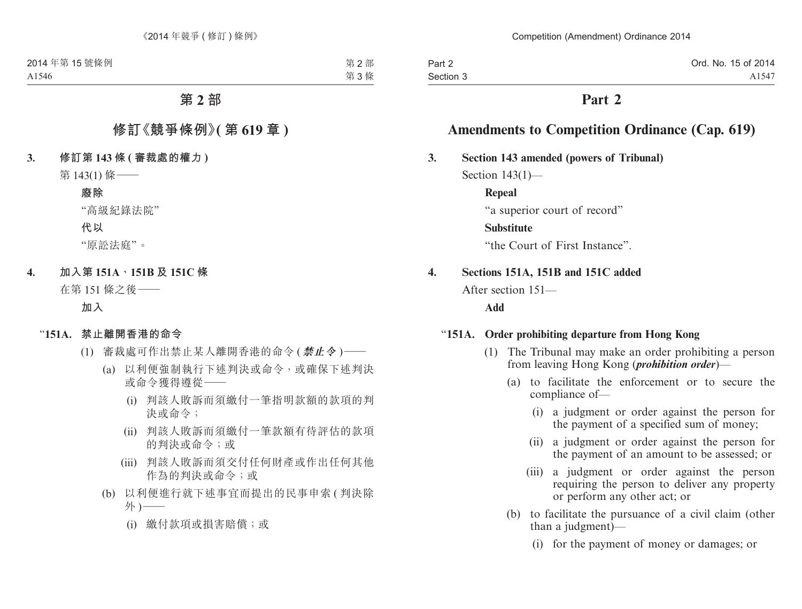| Part 2    | Ord. No. 15 of 2014 |
|-----------|---------------------|
| Section 3 | A1547               |

# **Part 2**

# **Amendments to Competition Ordinance (Cap. 619)**

# **3. Section 143 amended (powers of Tribunal)**

Section 143(1)—

**Repeal**

"a superior court of record"

# **Substitute**

"the Court of First Instance".

# **4. Sections 151A, 151B and 151C added**

After section 151—

# **Add**

# "**151A. Order prohibiting departure from Hong Kong**

- (1) The Tribunal may make an order prohibiting a person from leaving Hong Kong (*prohibition order*)—
	- (a) to facilitate the enforcement or to secure the compliance of—
		- (i) a judgment or order against the person for the payment of a specified sum of money;
		- (ii) a judgment or order against the person for the payment of an amount to be assessed; or
		- (iii) a judgment or order against the person requiring the person to deliver any property or perform any other act; or
	- (b) to facilitate the pursuance of a civil claim (other than a judgment)—
		- (i) for the payment of money or damages; or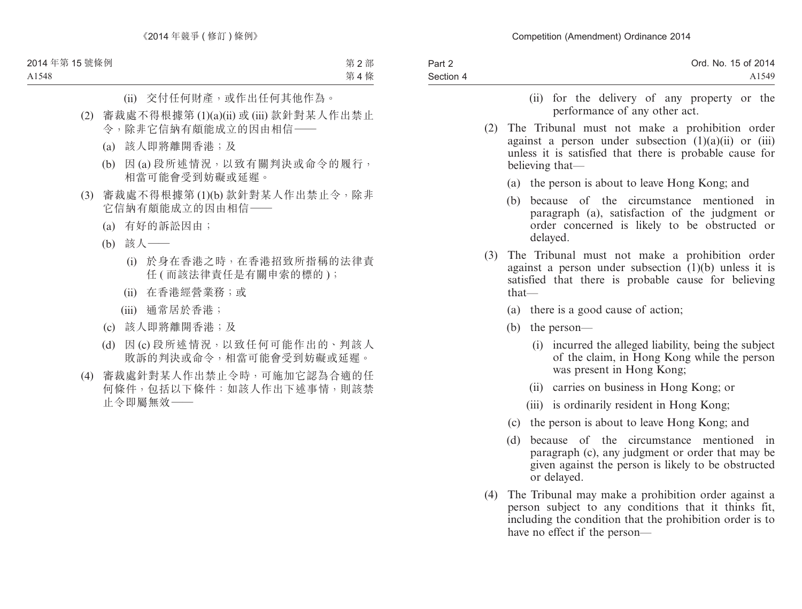| Part 2    | Ord. No. 15 of 2014 |
|-----------|---------------------|
| Section 4 | A <sub>1549</sub>   |
|           |                     |

- (ii) for the delivery of any property or the performance of any other act.
- (2) The Tribunal must not make a prohibition order against a person under subsection  $(1)(a)(ii)$  or  $(iii)$ unless it is satisfied that there is probable cause for believing that—
	- (a) the person is about to leave Hong Kong; and
	- (b) because of the circumstance mentioned in paragraph (a), satisfaction of the judgment or order concerned is likely to be obstructed or delayed.
- (3) The Tribunal must not make a prohibition order against a person under subsection  $(1)(b)$  unless it is satisfied that there is probable cause for believing that—
	- (a) there is a good cause of action;
	- (b) the person—
		- (i) incurred the alleged liability, being the subject of the claim, in Hong Kong while the person was present in Hong Kong;
		- (ii) carries on business in Hong Kong; or
		- (iii) is ordinarily resident in Hong Kong;
	- (c) the person is about to leave Hong Kong; and
	- (d) because of the circumstance mentioned in paragraph (c), any judgment or order that may be given against the person is likely to be obstructed or delayed.
- (4) The Tribunal may make a prohibition order against a person subject to any conditions that it thinks fit, including the condition that the prohibition order is to have no effect if the person—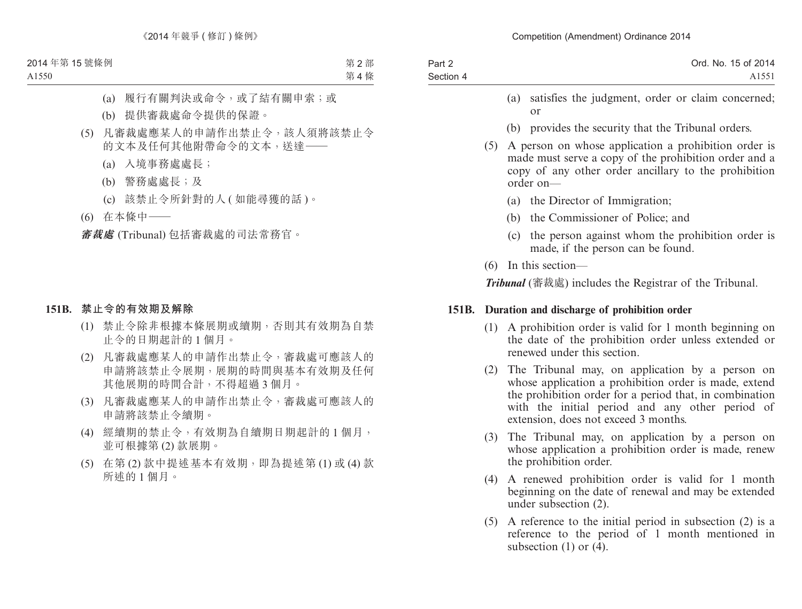| Part 2    | Ord. No. 15 of 2014 |
|-----------|---------------------|
| Section 4 | A <sub>1551</sub>   |

- (a) satisfies the judgment, order or claim concerned; or
- (b) provides the security that the Tribunal orders.
- (5) A person on whose application a prohibition order is made must serve a copy of the prohibition order and a copy of any other order ancillary to the prohibition order on—
	- (a) the Director of Immigration;
	- (b) the Commissioner of Police; and
	- (c) the person against whom the prohibition order is made, if the person can be found.
- (6) In this section—

*Tribunal* (審裁處) includes the Registrar of the Tribunal.

# **151B. Duration and discharge of prohibition order**

- (1) A prohibition order is valid for 1 month beginning on the date of the prohibition order unless extended or renewed under this section.
- (2) The Tribunal may, on application by a person on whose application a prohibition order is made, extend the prohibition order for a period that, in combination with the initial period and any other period of extension, does not exceed 3 months.
- (3) The Tribunal may, on application by a person on whose application a prohibition order is made, renew the prohibition order.
- (4) A renewed prohibition order is valid for 1 month beginning on the date of renewal and may be extended under subsection (2).
- (5) A reference to the initial period in subsection (2) is a reference to the period of 1 month mentioned in subsection  $(1)$  or  $(4)$ .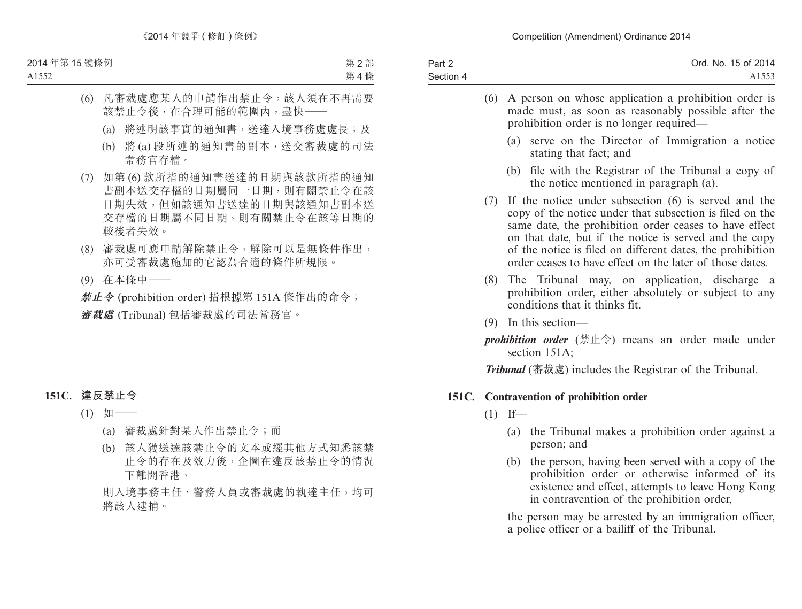| Part 2    | Ord. No. 15 of 2014 |
|-----------|---------------------|
| Section 4 | A1553               |

| (6) | A person on whose application a prohibition order is<br>made must, as soon as reasonably possible after the<br>prohibition order is no longer required—                                                                                                                                                                                                        |
|-----|----------------------------------------------------------------------------------------------------------------------------------------------------------------------------------------------------------------------------------------------------------------------------------------------------------------------------------------------------------------|
|     | serve on the Director of Immigration a notice<br>(a)<br>stating that fact; and                                                                                                                                                                                                                                                                                 |
|     | (b) file with the Registrar of the Tribunal a copy of<br>the notice mentioned in paragraph (a).                                                                                                                                                                                                                                                                |
| (7) | If the notice under subsection (6) is served and the<br>copy of the notice under that subsection is filed on the<br>same date, the prohibition order ceases to have effect<br>on that date, but if the notice is served and the copy<br>of the notice is filed on different dates, the prohibition<br>order ceases to have effect on the later of those dates. |
|     | (8) The Tribunal may, on application, discharge a<br>prohibition order, either absolutely or subject to any<br>conditions that it thinks fit.                                                                                                                                                                                                                  |
| (9) | In this section—                                                                                                                                                                                                                                                                                                                                               |
|     | prohibition order (禁止令) means an order made under                                                                                                                                                                                                                                                                                                              |

section 151A;

*Tribunal* (審裁處) includes the Registrar of the Tribunal.

# **151C. Contravention of prohibition order**

- $(1)$  If—
	- (a) the Tribunal makes a prohibition order against a person; and
	- (b) the person, having been served with a copy of the prohibition order or otherwise informed of its existence and effect, attempts to leave Hong Kong in contravention of the prohibition order,

the person may be arrested by an immigration officer, a police officer or a bailiff of the Tribunal.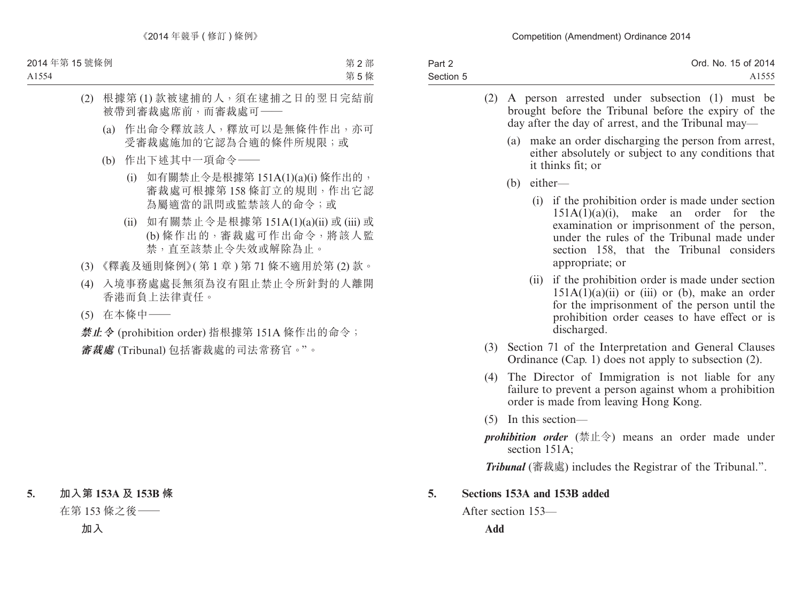| Part 2    | Ord. No. 15 of 2014 |
|-----------|---------------------|
| Section 5 | A1555               |

- (2) A person arrested under subsection (1) must be brought before the Tribunal before the expiry of the day after the day of arrest, and the Tribunal may—
	- (a) make an order discharging the person from arrest, either absolutely or subject to any conditions that it thinks fit; or
	- (b) either—
		- (i) if the prohibition order is made under section 151A(1)(a)(i), make an order for the examination or imprisonment of the person, under the rules of the Tribunal made under section 158, that the Tribunal considers appropriate; or
		- (ii) if the prohibition order is made under section  $151A(1)(a)(ii)$  or (iii) or (b), make an order for the imprisonment of the person until the prohibition order ceases to have effect or is discharged.
- (3) Section 71 of the Interpretation and General Clauses Ordinance (Cap. 1) does not apply to subsection (2).
- (4) The Director of Immigration is not liable for any failure to prevent a person against whom a prohibition order is made from leaving Hong Kong.
- (5) In this section—
- *prohibition order* (禁止令) means an order made under section 151A;

*Tribunal* (審裁處) includes the Registrar of the Tribunal.".

# **5. Sections 153A and 153B added**

After section 153—

**Add**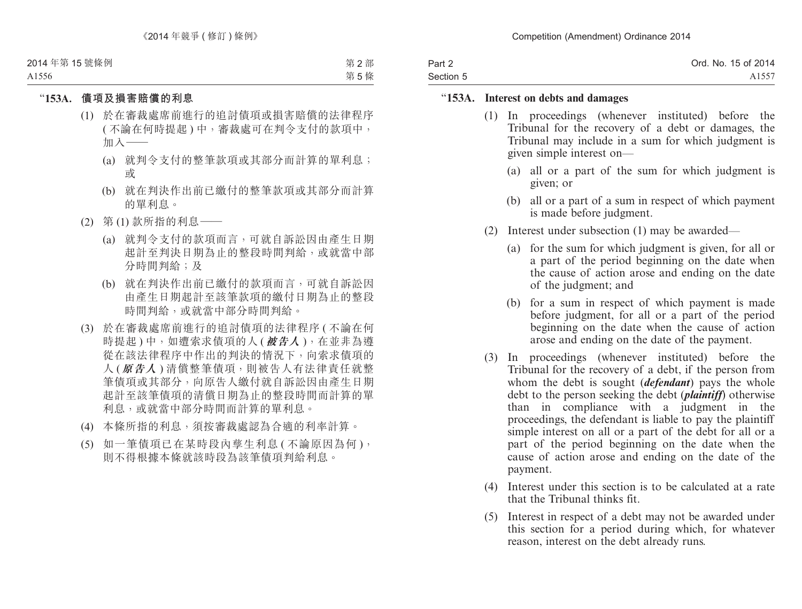| Part 2    | Ord. No. 15 of 2014 |
|-----------|---------------------|
| Section 5 | A1557               |

#### "**153A. Interest on debts and damages**

- (1) In proceedings (whenever instituted) before the Tribunal for the recovery of a debt or damages, the Tribunal may include in a sum for which judgment is given simple interest on—
	- (a) all or a part of the sum for which judgment is given; or
	- (b) all or a part of a sum in respect of which payment is made before judgment.
- (2) Interest under subsection (1) may be awarded—
	- (a) for the sum for which judgment is given, for all or a part of the period beginning on the date when the cause of action arose and ending on the date of the judgment; and
	- (b) for a sum in respect of which payment is made before judgment, for all or a part of the period beginning on the date when the cause of action arose and ending on the date of the payment.
- (3) In proceedings (whenever instituted) before the Tribunal for the recovery of a debt, if the person from whom the debt is sought (*defendant*) pays the whole debt to the person seeking the debt (*plaintiff*) otherwise than in compliance with a judgment in the proceedings, the defendant is liable to pay the plaintiff simple interest on all or a part of the debt for all or a part of the period beginning on the date when the cause of action arose and ending on the date of the payment.
- (4) Interest under this section is to be calculated at a rate that the Tribunal thinks fit.
- (5) Interest in respect of a debt may not be awarded under this section for a period during which, for whatever reason, interest on the debt already runs.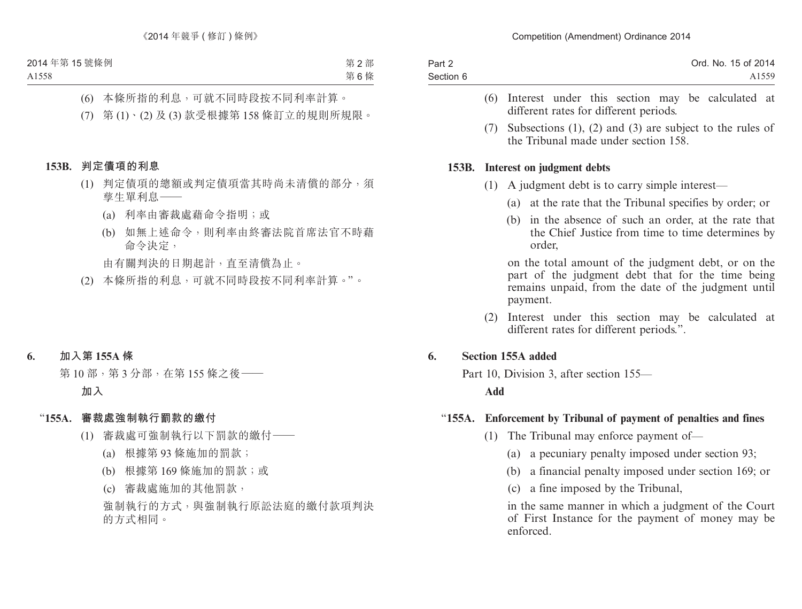| Part 2    | Ord. No. 15 of 2014 |
|-----------|---------------------|
| Section 6 | A <sub>1559</sub>   |

- (6) Interest under this section may be calculated at different rates for different periods.
- (7) Subsections (1), (2) and (3) are subject to the rules of the Tribunal made under section 158.

#### **153B. Interest on judgment debts**

- (1) A judgment debt is to carry simple interest—
	- (a) at the rate that the Tribunal specifies by order; or
	- (b) in the absence of such an order, at the rate that the Chief Justice from time to time determines by order,

on the total amount of the judgment debt, or on the part of the judgment debt that for the time being remains unpaid, from the date of the judgment until payment.

(2) Interest under this section may be calculated at different rates for different periods.".

#### **6. Section 155A added**

Part 10, Division 3, after section 155—

**Add**

#### "**155A. Enforcement by Tribunal of payment of penalties and fines**

- (1) The Tribunal may enforce payment of—
	- (a) a pecuniary penalty imposed under section 93;
	- (b) a financial penalty imposed under section 169; or
	- (c) a fine imposed by the Tribunal,

in the same manner in which a judgment of the Court of First Instance for the payment of money may be enforced.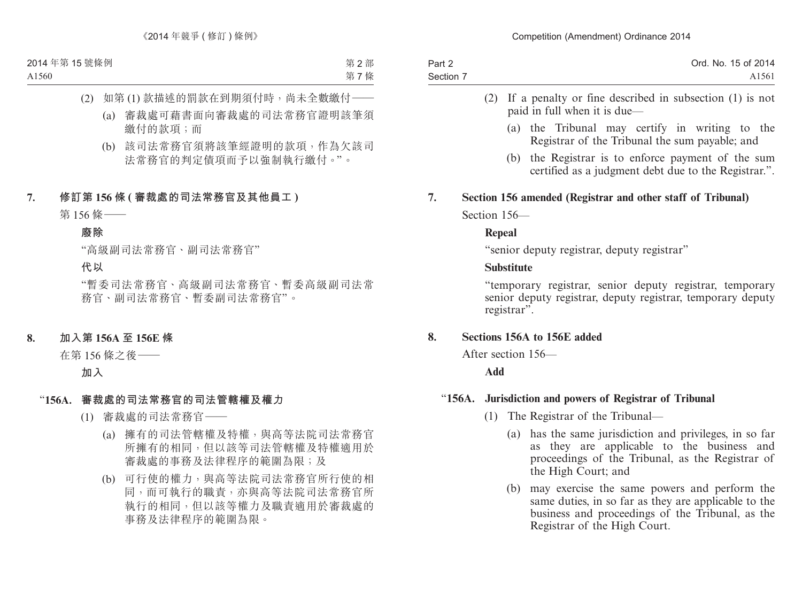| Part 2    | Ord. No. 15 of 2014 |
|-----------|---------------------|
| Section 7 | A <sub>1561</sub>   |

- (2) If a penalty or fine described in subsection (1) is not paid in full when it is due—
	- (a) the Tribunal may certify in writing to the Registrar of the Tribunal the sum payable; and
	- (b) the Registrar is to enforce payment of the sum certified as a judgment debt due to the Registrar.".

# **7. Section 156 amended (Registrar and other staff of Tribunal)**

Section 156—

#### **Repeal**

"senior deputy registrar, deputy registrar"

### **Substitute**

"temporary registrar, senior deputy registrar, temporary senior deputy registrar, deputy registrar, temporary deputy registrar".

# **8. Sections 156A to 156E added**

After section 156—

**Add**

# "**156A. Jurisdiction and powers of Registrar of Tribunal**

- (1) The Registrar of the Tribunal—
	- (a) has the same jurisdiction and privileges, in so far as they are applicable to the business and proceedings of the Tribunal, as the Registrar of the High Court; and
	- (b) may exercise the same powers and perform the same duties, in so far as they are applicable to the business and proceedings of the Tribunal, as the Registrar of the High Court.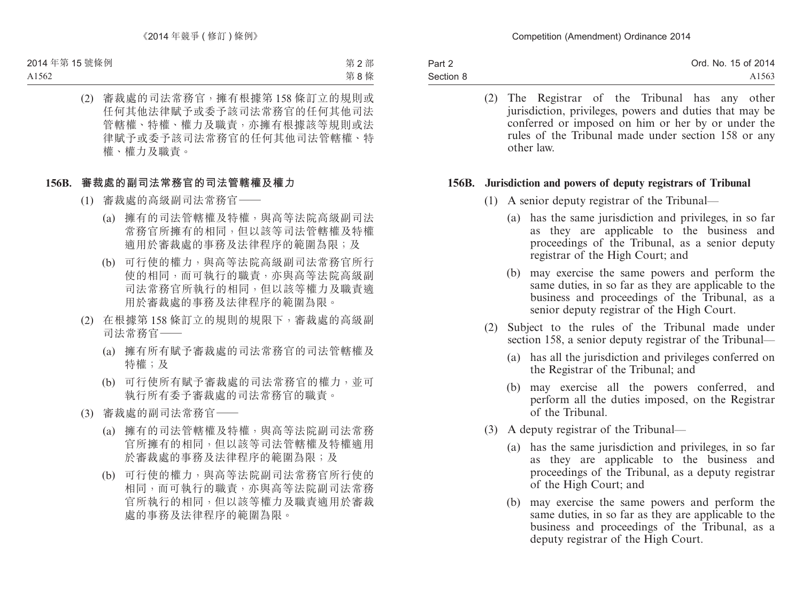| Part 2    | Ord. No. 15 of 2014 |
|-----------|---------------------|
| Section 8 | A <sub>1563</sub>   |

(2) The Registrar of the Tribunal has any other jurisdiction, privileges, powers and duties that may be conferred or imposed on him or her by or under the rules of the Tribunal made under section 158 or any other law.

#### **156B. Jurisdiction and powers of deputy registrars of Tribunal**

- (1) A senior deputy registrar of the Tribunal—
	- (a) has the same jurisdiction and privileges, in so far as they are applicable to the business and proceedings of the Tribunal, as a senior deputy registrar of the High Court; and
	- (b) may exercise the same powers and perform the same duties, in so far as they are applicable to the business and proceedings of the Tribunal, as a senior deputy registrar of the High Court.
- (2) Subject to the rules of the Tribunal made under section 158, a senior deputy registrar of the Tribunal—
	- (a) has all the jurisdiction and privileges conferred on the Registrar of the Tribunal; and
	- (b) may exercise all the powers conferred, and perform all the duties imposed, on the Registrar of the Tribunal.
- (3) A deputy registrar of the Tribunal—
	- (a) has the same jurisdiction and privileges, in so far as they are applicable to the business and proceedings of the Tribunal, as a deputy registrar of the High Court; and
	- (b) may exercise the same powers and perform the same duties, in so far as they are applicable to the business and proceedings of the Tribunal, as a deputy registrar of the High Court.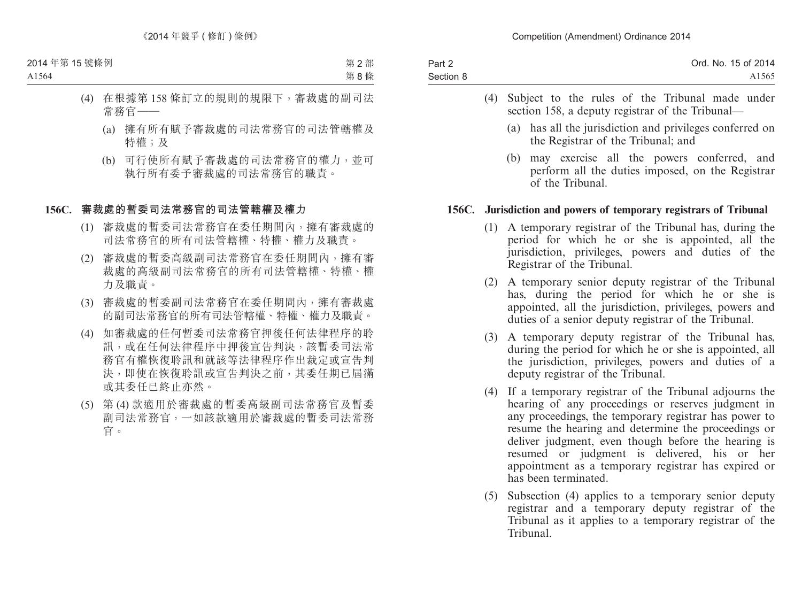| Part 2    | Ord. No. 15 of 2014 |
|-----------|---------------------|
| Section 8 | A <sub>1565</sub>   |

- (4) Subject to the rules of the Tribunal made under section 158, a deputy registrar of the Tribunal—
	- (a) has all the jurisdiction and privileges conferred on the Registrar of the Tribunal; and
	- (b) may exercise all the powers conferred, and perform all the duties imposed, on the Registrar of the Tribunal.

### **156C. Jurisdiction and powers of temporary registrars of Tribunal**

- (1) A temporary registrar of the Tribunal has, during the period for which he or she is appointed, all the jurisdiction, privileges, powers and duties of the Registrar of the Tribunal.
- (2) A temporary senior deputy registrar of the Tribunal has, during the period for which he or she is appointed, all the jurisdiction, privileges, powers and duties of a senior deputy registrar of the Tribunal.
- (3) A temporary deputy registrar of the Tribunal has, during the period for which he or she is appointed, all the jurisdiction, privileges, powers and duties of a deputy registrar of the Tribunal.
- (4) If a temporary registrar of the Tribunal adjourns the hearing of any proceedings or reserves judgment in any proceedings, the temporary registrar has power to resume the hearing and determine the proceedings or deliver judgment, even though before the hearing is resumed or judgment is delivered, his or her appointment as a temporary registrar has expired or has been terminated.
- (5) Subsection (4) applies to a temporary senior deputy registrar and a temporary deputy registrar of the Tribunal as it applies to a temporary registrar of the Tribunal.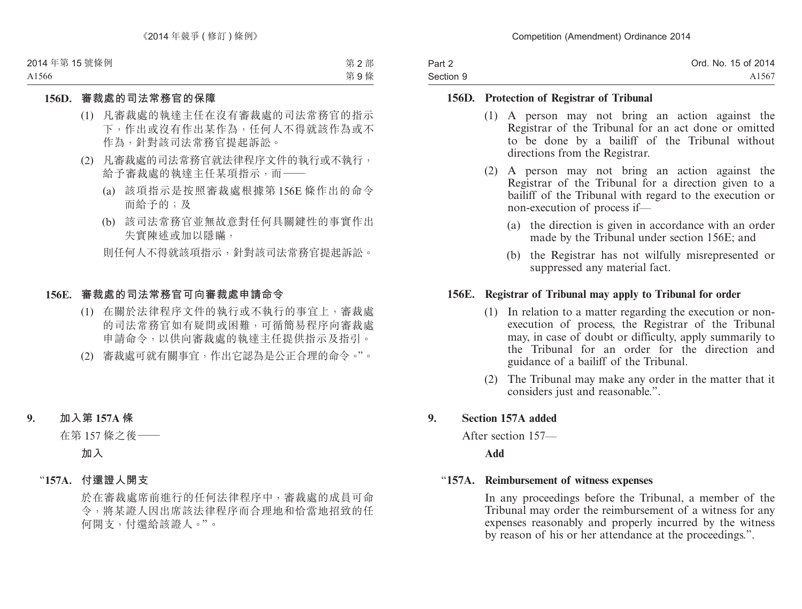| Part 2    | Ord. No. 15 of 2014 |
|-----------|---------------------|
| Section 9 | A1567               |

### **156D. Protection of Registrar of Tribunal**

- (1) A person may not bring an action against the Registrar of the Tribunal for an act done or omitted to be done by a bailiff of the Tribunal without directions from the Registrar.
- (2) A person may not bring an action against the Registrar of the Tribunal for a direction given to a bailiff of the Tribunal with regard to the execution or non-execution of process if—
	- (a) the direction is given in accordance with an order made by the Tribunal under section 156E; and
	- (b) the Registrar has not wilfully misrepresented or suppressed any material fact.

### **156E. Registrar of Tribunal may apply to Tribunal for order**

- (1) In relation to a matter regarding the execution or nonexecution of process, the Registrar of the Tribunal may, in case of doubt or difficulty, apply summarily to the Tribunal for an order for the direction and guidance of a bailiff of the Tribunal.
- (2) The Tribunal may make any order in the matter that it considers just and reasonable.".

# **9. Section 157A added**

After section 157—

#### **Add**

#### "**157A. Reimbursement of witness expenses**

In any proceedings before the Tribunal, a member of the Tribunal may order the reimbursement of a witness for any expenses reasonably and properly incurred by the witness by reason of his or her attendance at the proceedings.".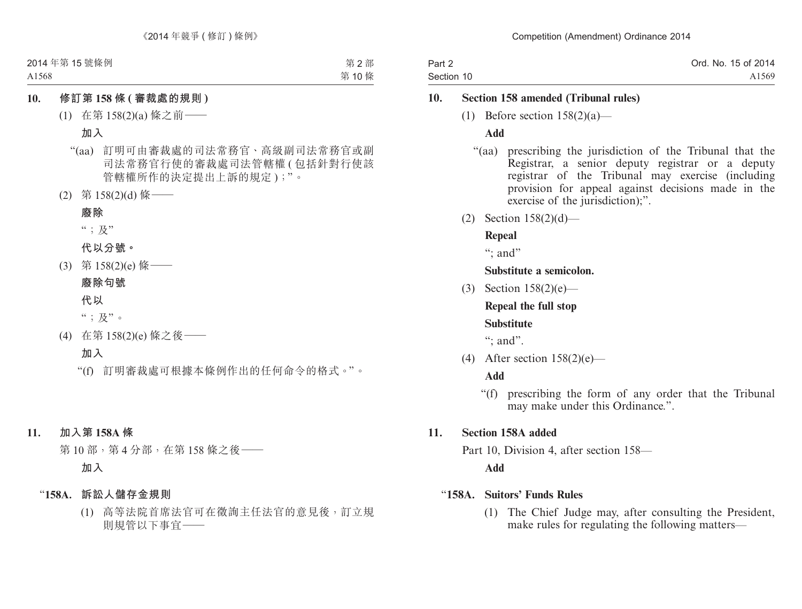| Part 2     | Ord. No. 15 of 2014 |
|------------|---------------------|
| Section 10 | A1569               |

# **10. Section 158 amended (Tribunal rules)**

(1) Before section  $158(2)(a)$ —

# **Add**

- "(aa) prescribing the jurisdiction of the Tribunal that the Registrar, a senior deputy registrar or a deputy registrar of the Tribunal may exercise (including provision for appeal against decisions made in the exercise of the jurisdiction):".
- (2) Section 158(2)(d)—

# **Repeal**

 $\cdots$  and"

# **Substitute a semicolon.**

(3) Section 158(2)(e)—

**Repeal the full stop**

# **Substitute**

": and".

(4) After section 158(2)(e)—

# **Add**

"(f) prescribing the form of any order that the Tribunal may make under this Ordinance.".

# **11. Section 158A added**

Part 10, Division 4, after section 158—

**Add**

# "**158A. Suitors' Funds Rules**

(1) The Chief Judge may, after consulting the President, make rules for regulating the following matters—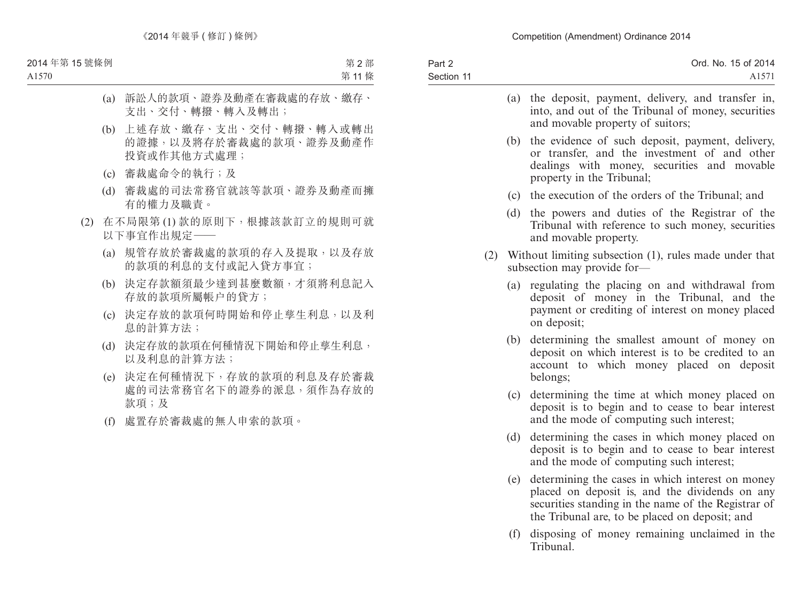| Part 2     | Ord. No. 15 of 2014 |
|------------|---------------------|
| Section 11 | A <sub>1571</sub>   |
|            |                     |

|     | (a) | the deposit, payment, delivery, and transfer in,<br>into, and out of the Tribunal of money, securities<br>and movable property of suitors;                                   |
|-----|-----|------------------------------------------------------------------------------------------------------------------------------------------------------------------------------|
|     | (b) | the evidence of such deposit, payment, delivery,<br>or transfer, and the investment of and other<br>dealings with money, securities and movable<br>property in the Tribunal; |
|     | (c) | the execution of the orders of the Tribunal; and                                                                                                                             |
|     |     | (d) the powers and duties of the Registrar of the<br>Tribunal with reference to such money, securities<br>and movable property.                                              |
| (2) |     | Without limiting subsection (1), rules made under that<br>subsection may provide for-                                                                                        |
|     | (a) | regulating the placing on and withdrawal from<br>deposit of money in the Tribunal, and the<br>payment or crediting of interest on money placed<br>on deposit;                |
|     | (b) | determining the smallest amount of money on<br>deposit on which interest is to be credited to an<br>account to which money placed on deposit<br>belongs;                     |
|     |     | (c) determining the time at which money placed on<br>deposit is to begin and to cease to bear interest<br>and the mode of computing such interest;                           |
|     | (d) | determining the cases in which money placed on                                                                                                                               |

- deposit is to begin and to cease to bear interest and the mode of computing such interest;
- (e) determining the cases in which interest on money placed on deposit is, and the dividends on any securities standing in the name of the Registrar of the Tribunal are, to be placed on deposit; and
- (f) disposing of money remaining unclaimed in the Tribunal.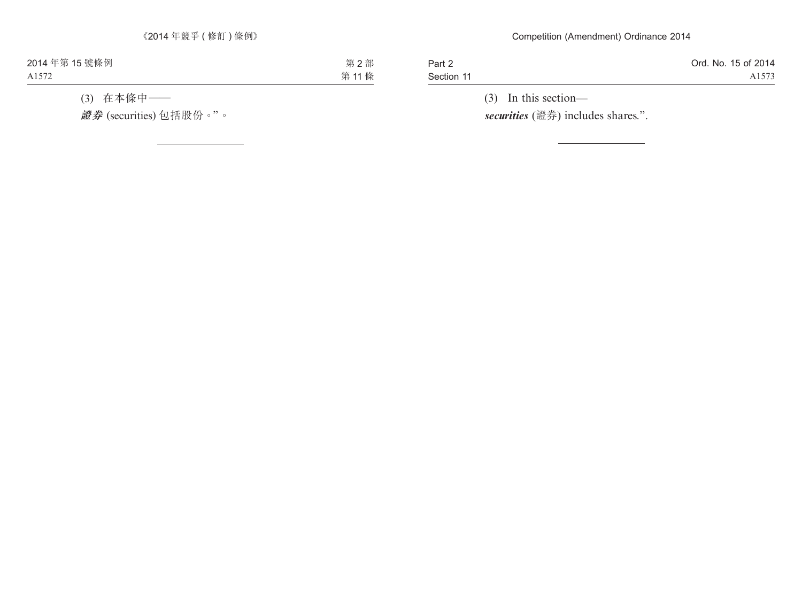Part 2 Section 11 Ord. No. 15 of 2014 A1573

(3) In this section *securities* (證券) includes shares.".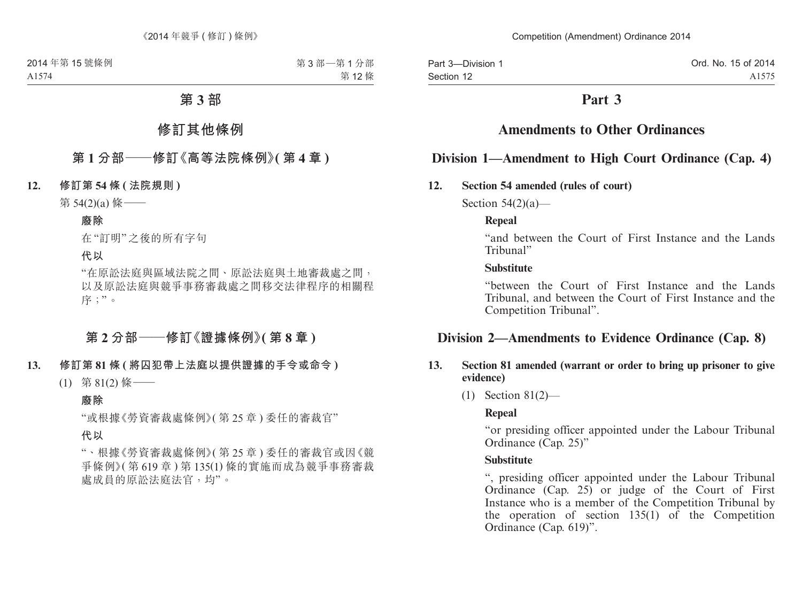Part 3—Division 1 Section 12

# **Part 3**

# **Amendments to Other Ordinances**

# **Division 1—Amendment to High Court Ordinance (Cap. 4)**

#### **12. Section 54 amended (rules of court)**

Section  $54(2)(a)$ —

#### **Repeal**

"and between the Court of First Instance and the Lands Tribunal"

#### **Substitute**

"between the Court of First Instance and the Lands Tribunal, and between the Court of First Instance and the Competition Tribunal".

# **Division 2—Amendments to Evidence Ordinance (Cap. 8)**

### **13. Section 81 amended (warrant or order to bring up prisoner to give evidence)**

(1) Section 81(2)—

# **Repeal**

"or presiding officer appointed under the Labour Tribunal Ordinance (Cap. 25)"

#### **Substitute**

", presiding officer appointed under the Labour Tribunal Ordinance (Cap. 25) or judge of the Court of First Instance who is a member of the Competition Tribunal by the operation of section  $135(1)$  of the Competition Ordinance (Cap. 619)".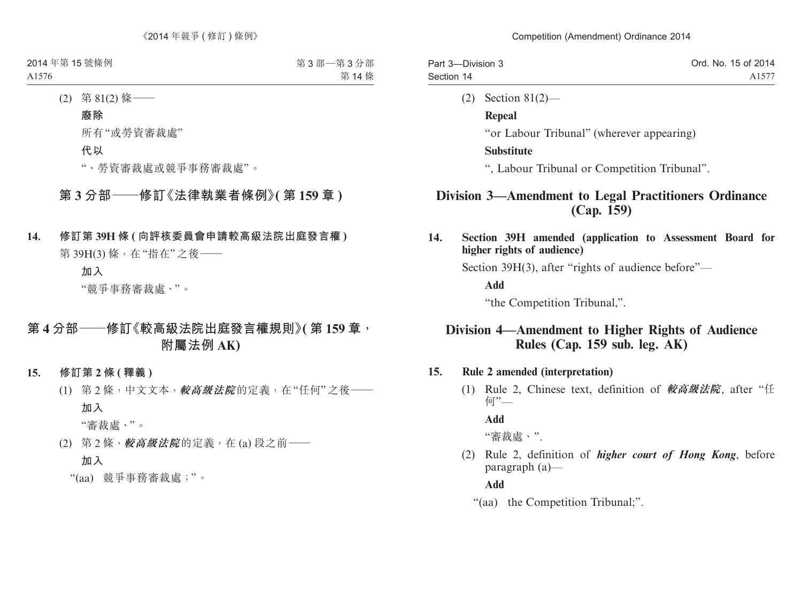| Part 3-Division 3 | Ord. No. 15 of 2014 |
|-------------------|---------------------|
| Section 14        | A1577               |
|                   |                     |

(2) Section 81(2)—

### **Repeal**

"or Labour Tribunal" (wherever appearing)

# **Substitute**

", Labour Tribunal or Competition Tribunal".

# **Division 3—Amendment to Legal Practitioners Ordinance (Cap. 159)**

**14. Section 39H amended (application to Assessment Board for higher rights of audience)**

Section 39H(3), after "rights of audience before"—

**Add**

"the Competition Tribunal,".

# **Division 4—Amendment to Higher Rights of Audience Rules (Cap. 159 sub. leg. AK)**

# **15. Rule 2 amended (interpretation)**

(1) Rule 2, Chinese text, definition of **較高級法院**, after "任 何"—

# **Add**

"審裁處、".

(2) Rule 2, definition of *higher court of Hong Kong*, before paragraph (a)—

# **Add**

"(aa) the Competition Tribunal;".